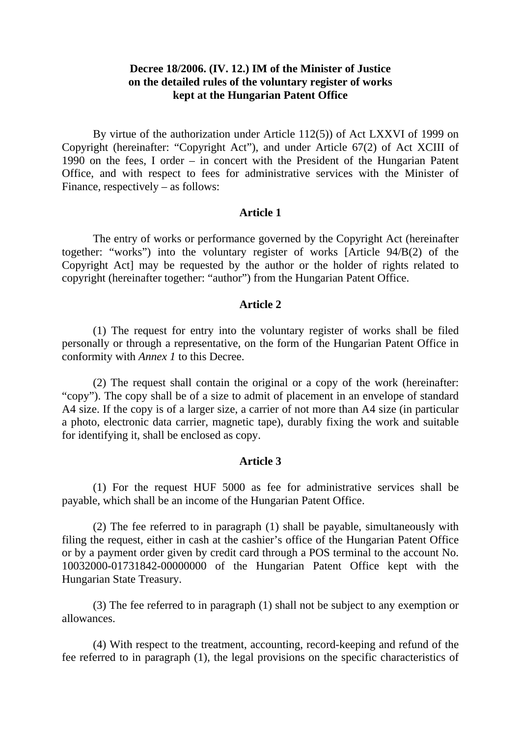# **Decree 18/2006. (IV. 12.) IM of the Minister of Justice on the detailed rules of the voluntary register of works kept at the Hungarian Patent Office**

By virtue of the authorization under Article 112(5)) of Act LXXVI of 1999 on Copyright (hereinafter: "Copyright Act"), and under Article 67(2) of Act XCIII of 1990 on the fees, I order – in concert with the President of the Hungarian Patent Office, and with respect to fees for administrative services with the Minister of Finance, respectively – as follows:

## **Article 1**

 The entry of works or performance governed by the Copyright Act (hereinafter together: "works") into the voluntary register of works [Article 94/B(2) of the Copyright Act] may be requested by the author or the holder of rights related to copyright (hereinafter together: "author") from the Hungarian Patent Office.

### **Article 2**

 (1) The request for entry into the voluntary register of works shall be filed personally or through a representative, on the form of the Hungarian Patent Office in conformity with *Annex 1* to this Decree.

 (2) The request shall contain the original or a copy of the work (hereinafter: "copy"). The copy shall be of a size to admit of placement in an envelope of standard A4 size. If the copy is of a larger size, a carrier of not more than A4 size (in particular a photo, electronic data carrier, magnetic tape), durably fixing the work and suitable for identifying it, shall be enclosed as copy.

### **Article 3**

 (1) For the request HUF 5000 as fee for administrative services shall be payable, which shall be an income of the Hungarian Patent Office.

 (2) The fee referred to in paragraph (1) shall be payable, simultaneously with filing the request, either in cash at the cashier's office of the Hungarian Patent Office or by a payment order given by credit card through a POS terminal to the account No. 10032000-01731842-00000000 of the Hungarian Patent Office kept with the Hungarian State Treasury.

 (3) The fee referred to in paragraph (1) shall not be subject to any exemption or allowances.

 (4) With respect to the treatment, accounting, record-keeping and refund of the fee referred to in paragraph (1), the legal provisions on the specific characteristics of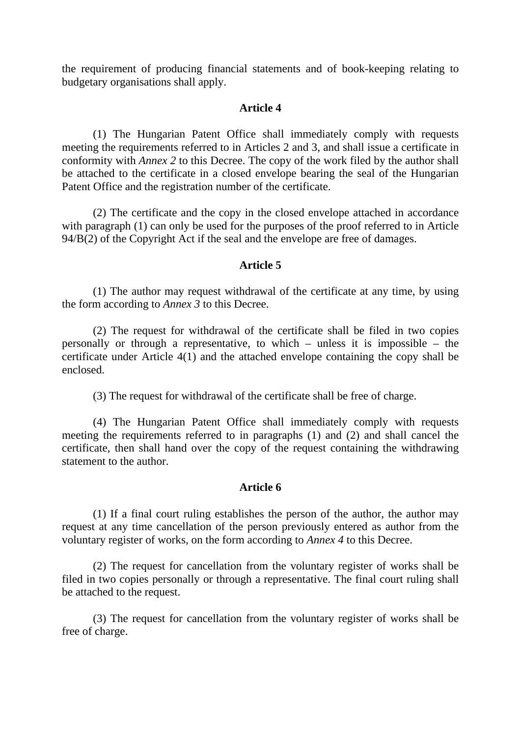the requirement of producing financial statements and of book-keeping relating to budgetary organisations shall apply.

#### **Article 4**

 (1) The Hungarian Patent Office shall immediately comply with requests meeting the requirements referred to in Articles 2 and 3, and shall issue a certificate in conformity with *Annex 2* to this Decree. The copy of the work filed by the author shall be attached to the certificate in a closed envelope bearing the seal of the Hungarian Patent Office and the registration number of the certificate.

 (2) The certificate and the copy in the closed envelope attached in accordance with paragraph (1) can only be used for the purposes of the proof referred to in Article 94/B(2) of the Copyright Act if the seal and the envelope are free of damages.

# **Article 5**

 (1) The author may request withdrawal of the certificate at any time, by using the form according to *Annex 3* to this Decree.

 (2) The request for withdrawal of the certificate shall be filed in two copies personally or through a representative, to which – unless it is impossible – the certificate under Article 4(1) and the attached envelope containing the copy shall be enclosed.

(3) The request for withdrawal of the certificate shall be free of charge.

 (4) The Hungarian Patent Office shall immediately comply with requests meeting the requirements referred to in paragraphs (1) and (2) and shall cancel the certificate, then shall hand over the copy of the request containing the withdrawing statement to the author.

#### **Article 6**

 (1) If a final court ruling establishes the person of the author, the author may request at any time cancellation of the person previously entered as author from the voluntary register of works, on the form according to *Annex 4* to this Decree.

 (2) The request for cancellation from the voluntary register of works shall be filed in two copies personally or through a representative. The final court ruling shall be attached to the request.

 (3) The request for cancellation from the voluntary register of works shall be free of charge.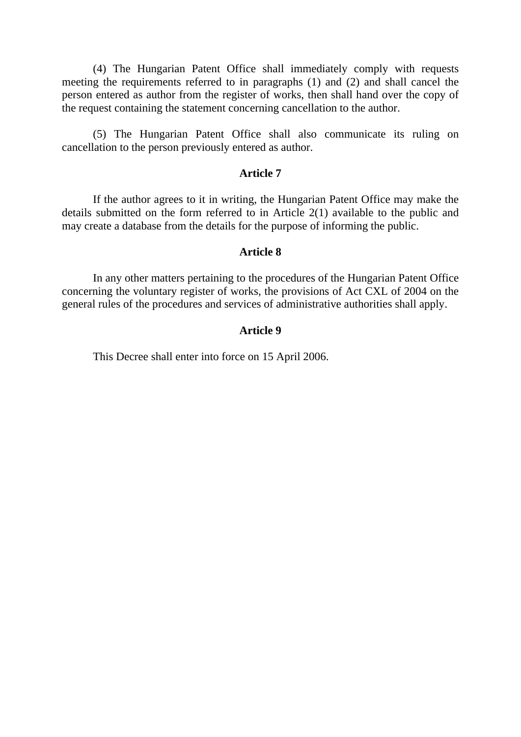(4) The Hungarian Patent Office shall immediately comply with requests meeting the requirements referred to in paragraphs (1) and (2) and shall cancel the person entered as author from the register of works, then shall hand over the copy of the request containing the statement concerning cancellation to the author.

 (5) The Hungarian Patent Office shall also communicate its ruling on cancellation to the person previously entered as author.

## **Article 7**

 If the author agrees to it in writing, the Hungarian Patent Office may make the details submitted on the form referred to in Article 2(1) available to the public and may create a database from the details for the purpose of informing the public.

#### **Article 8**

In any other matters pertaining to the procedures of the Hungarian Patent Office concerning the voluntary register of works, the provisions of Act CXL of 2004 on the general rules of the procedures and services of administrative authorities shall apply.

## **Article 9**

This Decree shall enter into force on 15 April 2006.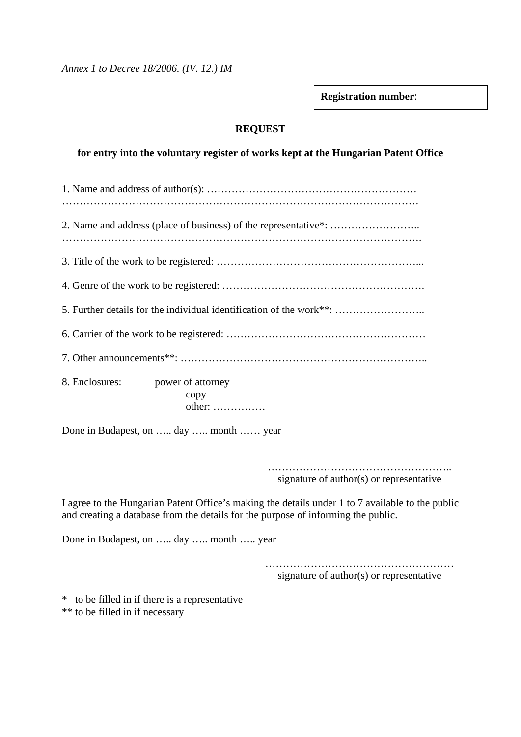*Annex 1 to Decree 18/2006. (IV. 12.) IM* 

**Registration number**:

# **REQUEST**

# **for entry into the voluntary register of works kept at the Hungarian Patent Office**

| 8. Enclosures:<br>power of attorney<br>copy<br>$other:$                                                                                                                                                                                                                                                                            |  |  |  |
|------------------------------------------------------------------------------------------------------------------------------------------------------------------------------------------------------------------------------------------------------------------------------------------------------------------------------------|--|--|--|
| Done in Budapest, on  day  month  year                                                                                                                                                                                                                                                                                             |  |  |  |
| signature of author(s) or representative                                                                                                                                                                                                                                                                                           |  |  |  |
| I agree to the Hungarian Patent Office's making the details under 1 to 7 available to the public<br>and creating a database from the details for the purpose of informing the public.                                                                                                                                              |  |  |  |
| $\mathbf{r}$ $\mathbf{r}$ $\mathbf{r}$ $\mathbf{r}$ $\mathbf{r}$ $\mathbf{r}$ $\mathbf{r}$ $\mathbf{r}$ $\mathbf{r}$ $\mathbf{r}$ $\mathbf{r}$ $\mathbf{r}$ $\mathbf{r}$ $\mathbf{r}$ $\mathbf{r}$ $\mathbf{r}$ $\mathbf{r}$ $\mathbf{r}$ $\mathbf{r}$ $\mathbf{r}$ $\mathbf{r}$ $\mathbf{r}$ $\mathbf{r}$ $\mathbf{r}$ $\mathbf{$ |  |  |  |

Done in Budapest, on ….. day ….. month ….. year

……………………………………………… signature of author(s) or representative

\* to be filled in if there is a representative \*\* to be filled in if necessary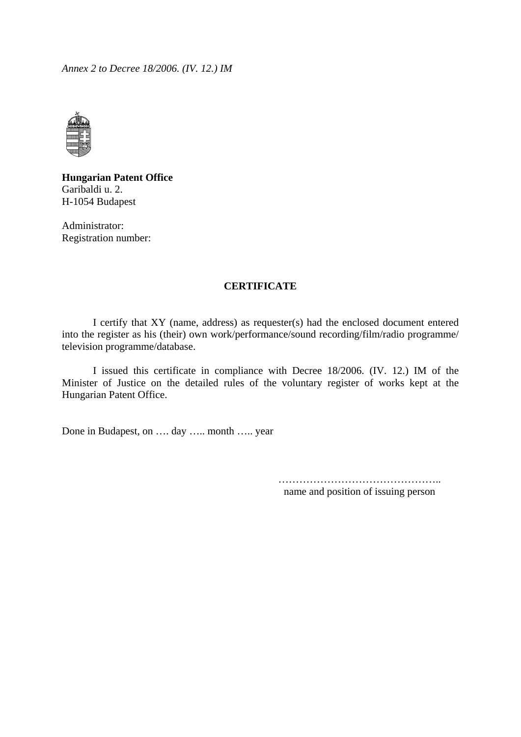*Annex 2 to Decree 18/2006. (IV. 12.) IM* 



**Hungarian Patent Office**  Garibaldi u. 2. H-1054 Budapest

Administrator: Registration number:

### **CERTIFICATE**

 I certify that XY (name, address) as requester(s) had the enclosed document entered into the register as his (their) own work/performance/sound recording/film/radio programme/ television programme/database.

I issued this certificate in compliance with Decree 18/2006. (IV. 12.) IM of the Minister of Justice on the detailed rules of the voluntary register of works kept at the Hungarian Patent Office.

Done in Budapest, on …. day ….. month ….. year

……………………………………….. name and position of issuing person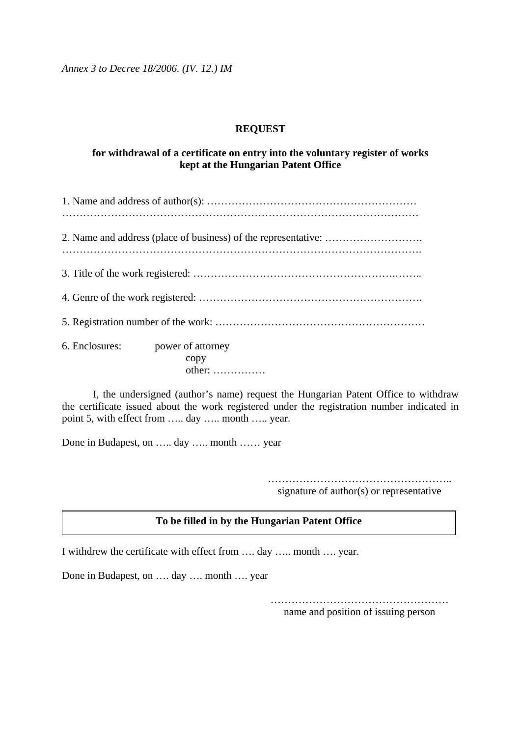*Annex 3 to Decree 18/2006. (IV. 12.) IM* 

# **REQUEST**

# **for withdrawal of a certificate on entry into the voluntary register of works kept at the Hungarian Patent Office**

| 6. Enclosures: power of attorney<br>copy<br>$other:$ |  |
|------------------------------------------------------|--|

 I, the undersigned (author's name) request the Hungarian Patent Office to withdraw the certificate issued about the work registered under the registration number indicated in point 5, with effect from ….. day ….. month ….. year.

Done in Budapest, on ….. day ….. month …… year

…………………………………………….. signature of author(s) or representative

# **To be filled in by the Hungarian Patent Office**

I withdrew the certificate with effect from …. day ….. month …. year.

Done in Budapest, on …. day …. month …. year

…………………………………………… name and position of issuing person